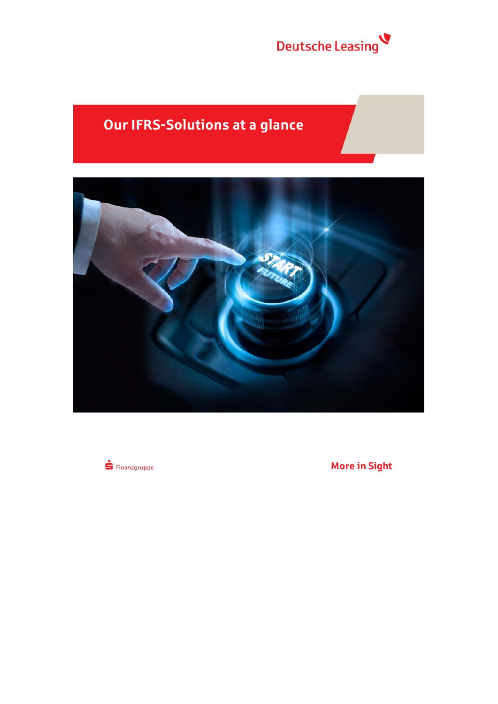

# **Our IFRS-Solutions at a glance**



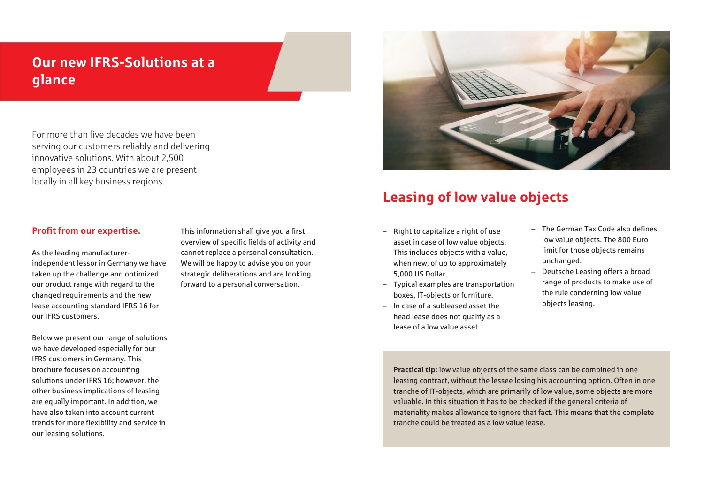# **Our new IFRS-Solutions at a glance**

For more than five decades we have been serving our customers reliably and delivering innovative solutions. With about 2,500 employees in 23 countries we are present locally in all key business regions.

### **Profit from our expertise.**

As the leading manufacturerindependent lessor in Germany we have taken up the challenge and optimized our product range with regard to the changed requirements and the new lease accounting standard IFRS 16 for our IFRS customers.

Below we present our range of solutions we have developed especially for our IFRS customers in Germany. This brochure focuses on accounting solutions under IFRS 16; however, the other business implications of leasing are equally important. In addition, we have also taken into account current trends for more flexibility and service in our leasing solutions.

This information shall give you a first overview of specific fields of activity and cannot replace a personal consultation. We will be happy to advise you on your strategic deliberations and are looking forward to a personal conversation.



# **Leasing of low value objects**

- Right to capitalize a right of use asset in case of low value objects.
- This includes objects with a value, when new, of up to approximately 5,000 US Dollar.
- Typical examples are transportation boxes, IT-objects or furniture.
- In case of a subleased asset the head lease does not qualify as a lease of a low value asset.
- The German Tax Code also defines low value objects. The 800 Euro limit for those objects remains unchanged.
- Deutsche Leasing offers a broad range of products to make use of the rule conderning low value objects leasing.

**Practical tip:** low value objects of the same class can be combined in one leasing contract, without the lessee losing his accounting option. Often in one tranche of IT-objects, which are primarily of low value, some objects are more valuable. In this situation it has to be checked if the general criteria of materiality makes allowance to ignore that fact. This means that the complete tranche could be treated as a low value lease.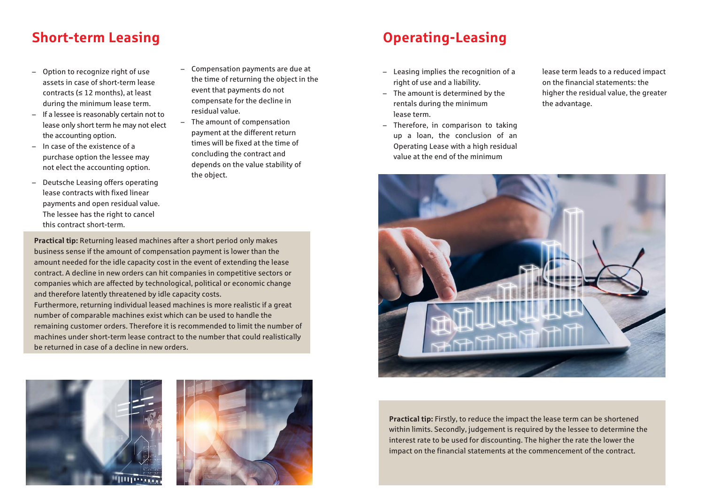# **Short-term Leasing Community Community Community Community Community Community Community Community Community Community Community Community Community Community Community Community Community Community Community Community Co**

- – Option to recognize right of use assets in case of short-term lease contracts (≤ 12 months), at least during the minimum lease term.
- If a lessee is reasonably certain not to lease only short term he may not elect the accounting option.
- In case of the existence of a purchase option the lessee may not elect the accounting option.
- Deutsche Leasing offers operating lease contracts with fixed linear payments and open residual value. The lessee has the right to cancel this contract short-term.
- Compensation payments are due at the time of returning the object in the event that payments do not compensate for the decline in residual value.
- The amount of compensation payment at the different return times will be fixed at the time of concluding the contract and depends on the value stability of the object.

**Practical tip:** Returning leased machines after a short period only makes business sense if the amount of compensation payment is lower than the amount needed for the idle capacity cost in the event of extending the lease contract. A decline in new orders can hit companies in competitive sectors or companies which are affected by technological, political or economic change and therefore latently threatened by idle capacity costs.

Furthermore, returning individual leased machines is more realistic if a great number of comparable machines exist which can be used to handle the remaining customer orders. Therefore it is recommended to limit the number of machines under short-term lease contract to the number that could realistically be returned in case of a decline in new orders.





- Leasing implies the recognition of a right of use and a liability.
- The amount is determined by the rentals during the minimum lease term.
- Therefore, in comparison to taking up a loan, the conclusion of an Operating Lease with a high residual value at the end of the minimum

lease term leads to a reduced impact on the financial statements: the higher the residual value, the greater the advantage.



**Practical tip:** Firstly, to reduce the impact the lease term can be shortened within limits. Secondly, judgement is required by the lessee to determine the interest rate to be used for discounting. The higher the rate the lower the impact on the financial statements at the commencement of the contract.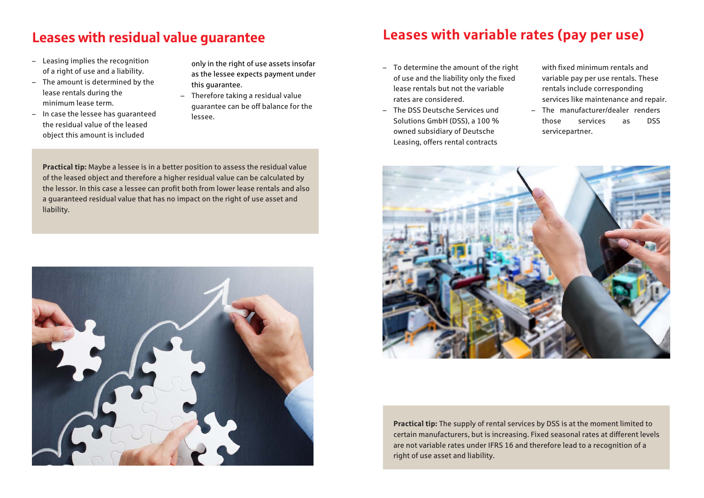- Leasing implies the recognition of a right of use and a liability.
- The amount is determined by the lease rentals during the minimum lease term.
- In case the lessee has guaranteed the residual value of the leased object this amount is included

only in the right of use assets insofar as the lessee expects payment under this guarantee.

– Therefore taking a residual value guarantee can be off balance for the lessee.

**Practical tip:** Maybe a lessee is in a better position to assess the residual value of the leased object and therefore a higher residual value can be calculated by the lessor. In this case a lessee can profit both from lower lease rentals and also a guaranteed residual value that has no impact on the right of use asset and liability.



# **Leases with residual value guarantee Leases with variable rates (pay per use)**

- To determine the amount of the right of use and the liability only the fixed lease rentals but not the variable rates are considered.
- The DSS Deutsche Services und Solutions GmbH (DSS), a 100 % owned subsidiary of Deutsche Leasing, offers rental contracts

with fixed minimum rentals and variable pay per use rentals. These rentals include corresponding services like maintenance and repair.

– The manufacturer/dealer renders those services as DSS servicepartner.



**Practical tip:** The supply of rental services by DSS is at the moment limited to certain manufacturers, but is increasing. Fixed seasonal rates at different levels are not variable rates under IFRS 16 and therefore lead to a recognition of a right of use asset and liability.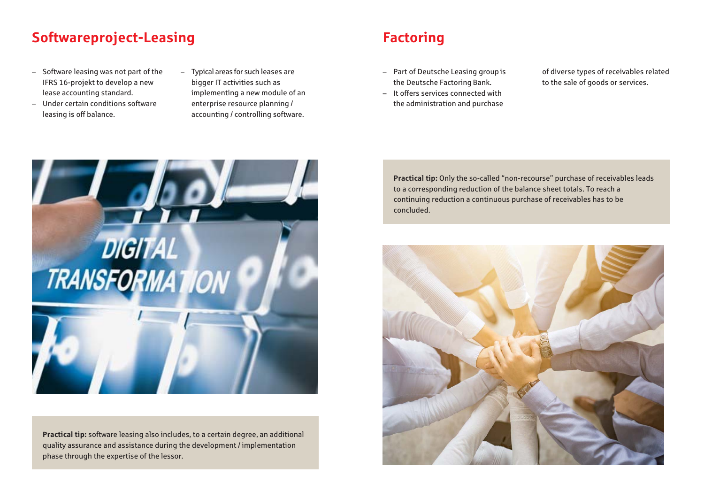# **Softwareproject-Leasing Factoring** Factoring

- Software leasing was not part of the IFRS 16-projekt to develop a new lease accounting standard.
- Under certain conditions software leasing is off balance.
- Typical areas for such leases are bigger IT activities such as implementing a new module of an enterprise resource planning / accounting / controlling software.

- Part of Deutsche Leasing group is the Deutsche Factoring Bank.
- It offers services connected with the administration and purchase

of diverse types of receivables related to the sale of goods or services.



**Practical tip:** software leasing also includes, to a certain degree, an additional quality assurance and assistance during the development / implementation phase through the expertise of the lessor.

**Practical tip:** Only the so-called "non-recourse" purchase of receivables leads to a corresponding reduction of the balance sheet totals. To reach a continuing reduction a continuous purchase of receivables has to be concluded.

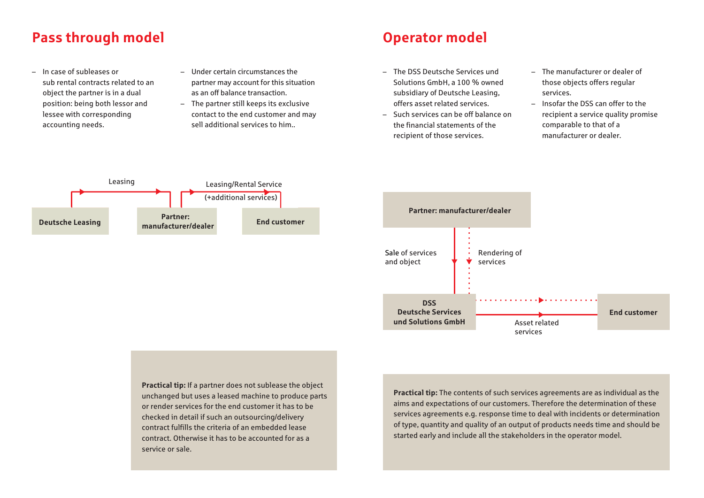# **Pass through model and a contract of the Contract Operator model**

- In case of subleases or sub rental contracts related to an object the partner is in a dual position: being both lessor and lessee with corresponding accounting needs.
- Under certain circumstances the partner may account for this situation as an off balance transaction.
- The partner still keeps its exclusive contact to the end customer and may sell additional services to him..

- The DSS Deutsche Services und Solutions GmbH, a 100 % owned subsidiary of Deutsche Leasing, offers asset related services.
- Such services can be off balance on the financial statements of the recipient of those services.
- The manufacturer or dealer of those objects offers regular services.
- Insofar the DSS can offer to the recipient a service quality promise comparable to that of a manufacturer or dealer.





**Practical tip:** If a partner does not sublease the object unchanged but uses a leased machine to produce parts or render services for the end customer it has to be checked in detail if such an outsourcing/delivery contract fulfills the criteria of an embedded lease contract. Otherwise it has to be accounted for as a service or sale.

**Practical tip:** The contents of such services agreements are as individual as the aims and expectations of our customers. Therefore the determination of these services agreements e.g. response time to deal with incidents or determination of type, quantity and quality of an output of products needs time and should be started early and include all the stakeholders in the operator model.